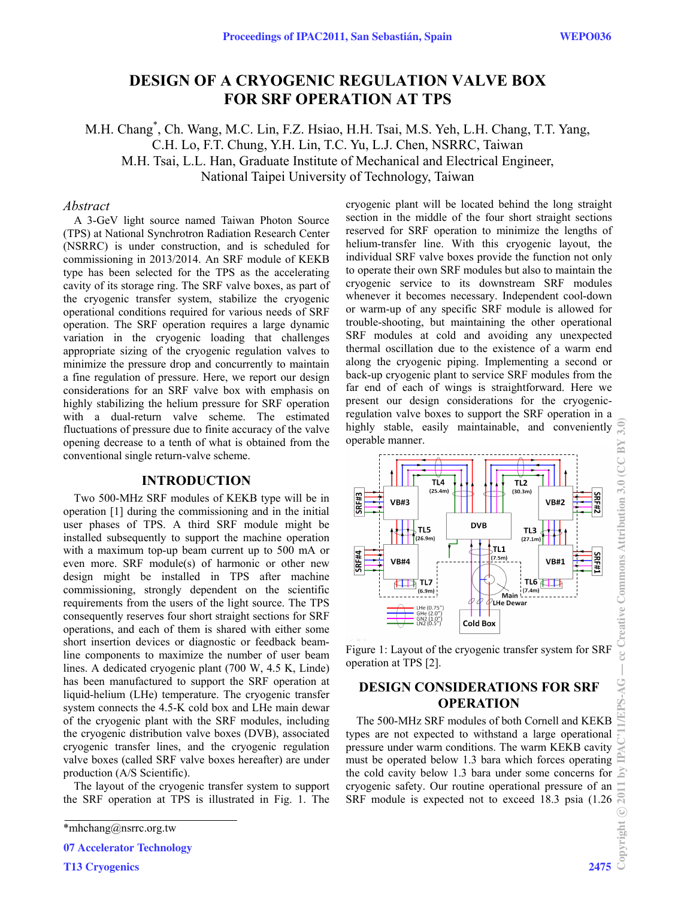# **DESIGN OF A CRYOGENIC REGULATION VALVE BOX FOR SRF OPERATION AT TPS**

M.H. Chang\* , Ch. Wang, M.C. Lin, F.Z. Hsiao, H.H. Tsai, M.S. Yeh, L.H. Chang, T.T. Yang, C.H. Lo, F.T. Chung, Y.H. Lin, T.C. Yu, L.J. Chen, NSRRC, Taiwan M.H. Tsai, L.L. Han, Graduate Institute of Mechanical and Electrical Engineer, National Taipei University of Technology, Taiwan

### *Abstract*

A 3-GeV light source named Taiwan Photon Source (TPS) at National Synchrotron Radiation Research Center (NSRRC) is under construction, and is scheduled for commissioning in 2013/2014. An SRF module of KEKB type has been selected for the TPS as the accelerating cavity of its storage ring. The SRF valve boxes, as part of the cryogenic transfer system, stabilize the cryogenic operational conditions required for various needs of SRF operation. The SRF operation requires a large dynamic variation in the cryogenic loading that challenges appropriate sizing of the cryogenic regulation valves to minimize the pressure drop and concurrently to maintain a fine regulation of pressure. Here, we report our design considerations for an SRF valve box with emphasis on highly stabilizing the helium pressure for SRF operation with a dual-return valve scheme. The estimated fluctuations of pressure due to finite accuracy of the valve opening decrease to a tenth of what is obtained from the conventional single return-valve scheme.

### **INTRODUCTION**

Two 500-MHz SRF modules of KEKB type will be in operation [1] during the commissioning and in the initial user phases of TPS. A third SRF module might be installed subsequently to support the machine operation with a maximum top-up beam current up to 500 mA or even more. SRF module(s) of harmonic or other new design might be installed in TPS after machine commissioning, strongly dependent on the scientific requirements from the users of the light source. The TPS consequently reserves four short straight sections for SRF operations, and each of them is shared with either some short insertion devices or diagnostic or feedback beamline components to maximize the number of user beam lines. A dedicated cryogenic plant (700 W, 4.5 K, Linde) has been manufactured to support the SRF operation at liquid-helium (LHe) temperature. The cryogenic transfer system connects the 4.5-K cold box and LHe main dewar of the cryogenic plant with the SRF modules, including the cryogenic distribution valve boxes (DVB), associated cryogenic transfer lines, and the cryogenic regulation valve boxes (called SRF valve boxes hereafter) are under production (A/S Scientific).

The layout of the cryogenic transfer system to support the SRF operation at TPS is illustrated in Fig. 1. The

T13 Cryogenics 2475

cryogenic plant will be located behind the long straight section in the middle of the four short straight sections reserved for SRF operation to minimize the lengths of helium-transfer line. With this cryogenic layout, the individual SRF valve boxes provide the function not only to operate their own SRF modules but also to maintain the cryogenic service to its downstream SRF modules whenever it becomes necessary. Independent cool-down or warm-up of any specific SRF module is allowed for trouble-shooting, but maintaining the other operational SRF modules at cold and avoiding any unexpected thermal oscillation due to the existence of a warm end along the cryogenic piping. Implementing a second or back-up cryogenic plant to service SRF modules from the far end of each of wings is straightforward. Here we present our design considerations for the cryogenicregulation valve boxes to support the SRF operation in a  $3.0)$ highly stable, easily maintainable, and conveniently operable manner.



Figure 1: Layout of the cryogenic transfer system for SRF operation at TPS [2].

# **DESIGN CONSIDERATIONS FOR SRF OPERATION**

The 500-MHz SRF modules of both Cornell and KEKB types are not expected to withstand a large operational pressure under warm conditions. The warm KEKB cavity must be operated below 1.3 bara which forces operating the cold cavity below 1.3 bara under some concerns for cryogenic safety. Our routine operational pressure of an SRF module is expected not to exceed 18.3 psia (1.26

<sup>\*</sup>mhchang@nsrrc.org.tw

<sup>07</sup> Accelerator Technology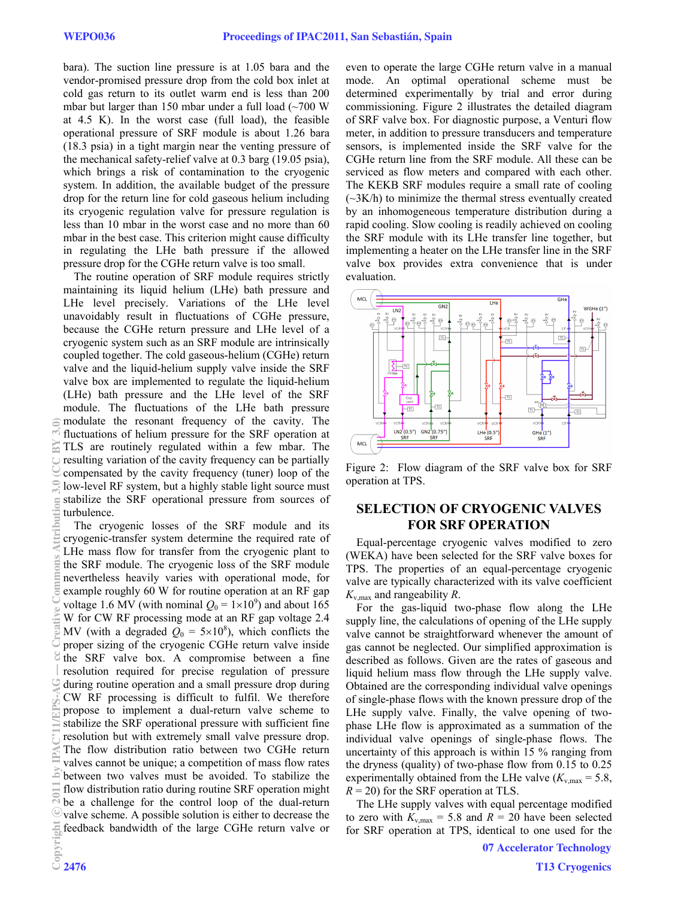bara). The suction line pressure is at 1.05 bara and the vendor-promised pressure drop from the cold box inlet at cold gas return to its outlet warm end is less than 200 mbar but larger than 150 mbar under a full load  $\sim 700$  W at 4.5 K). In the worst case (full load), the feasible operational pressure of SRF module is about 1.26 bara (18.3 psia) in a tight margin near the venting pressure of the mechanical safety-relief valve at 0.3 barg (19.05 psia), which brings a risk of contamination to the cryogenic system. In addition, the available budget of the pressure drop for the return line for cold gaseous helium including its cryogenic regulation valve for pressure regulation is less than 10 mbar in the worst case and no more than 60 mbar in the best case. This criterion might cause difficulty in regulating the LHe bath pressure if the allowed pressure drop for the CGHe return valve is too small.

The routine operation of SRF module requires strictly maintaining its liquid helium (LHe) bath pressure and LHe level precisely. Variations of the LHe level unavoidably result in fluctuations of CGHe pressure, because the CGHe return pressure and LHe level of a cryogenic system such as an SRF module are intrinsically coupled together. The cold gaseous-helium (CGHe) return valve and the liquid-helium supply valve inside the SRF valve box are implemented to regulate the liquid-helium (LHe) bath pressure and the LHe level of the SRF module. The fluctuations of the LHe bath pressure modulate the resonant frequency of the cavity. The fluctuations of helium pressure for the SRF operation at TLS are routinely regulated within a few mbar. The resulting variation of the cavity frequency can be partially compensated by the cavity frequency (tuner) loop of the low-level RF system, but a highly stable light source must stabilize the SRF operational pressure from sources of turbulence.

The cryogenic losses of the SRF module and its cryogenic-transfer system determine the required rate of LHe mass flow for transfer from the cryogenic plant to the SRF module. The cryogenic loss of the SRF module nevertheless heavily varies with operational mode, for example roughly 60 W for routine operation at an RF gap voltage 1.6 MV (with nominal  $Q_0 = 1 \times 10^9$ ) and about 165 W for CW RF processing mode at an RF gap voltage 2.4 MV (with a degraded  $Q_0 = 5 \times 10^8$ ), which conflicts the proper sizing of the cryogenic CGHe return valve inside the SRF valve box. A compromise between a fine resolution required for precise regulation of pressure during routine operation and a small pressure drop during CW RF processing is difficult to fulfil. We therefore propose to implement a dual-return valve scheme to stabilize the SRF operational pressure with sufficient fine resolution but with extremely small valve pressure drop. The flow distribution ratio between two CGHe return valves cannot be unique; a competition of mass flow rates between two valves must be avoided. To stabilize the flow distribution ratio during routine SRF operation might be a challenge for the control loop of the dual-return valve scheme. A possible solution is either to decrease the feedback bandwidth of the large CGHe return valve or

even to operate the large CGHe return valve in a manual mode. An optimal operational scheme must be determined experimentally by trial and error during commissioning. Figure 2 illustrates the detailed diagram of SRF valve box. For diagnostic purpose, a Venturi flow meter, in addition to pressure transducers and temperature sensors, is implemented inside the SRF valve for the CGHe return line from the SRF module. All these can be serviced as flow meters and compared with each other. The KEKB SRF modules require a small rate of cooling  $(\sim 3K/h)$  to minimize the thermal stress eventually created by an inhomogeneous temperature distribution during a rapid cooling. Slow cooling is readily achieved on cooling the SRF module with its LHe transfer line together, but implementing a heater on the LHe transfer line in the SRF valve box provides extra convenience that is under evaluation.



Figure 2: Flow diagram of the SRF valve box for SRF operation at TPS.

## **SELECTION OF CRYOGENIC VALVES FOR SRF OPERATION**

Equal-percentage cryogenic valves modified to zero (WEKA) have been selected for the SRF valve boxes for TPS. The properties of an equal-percentage cryogenic valve are typically characterized with its valve coefficient  $K_{v \text{ max}}$  and rangeability  $R$ .

For the gas-liquid two-phase flow along the LHe supply line, the calculations of opening of the LHe supply valve cannot be straightforward whenever the amount of gas cannot be neglected. Our simplified approximation is described as follows. Given are the rates of gaseous and liquid helium mass flow through the LHe supply valve. Obtained are the corresponding individual valve openings of single-phase flows with the known pressure drop of the LHe supply valve. Finally, the valve opening of twophase LHe flow is approximated as a summation of the individual valve openings of single-phase flows. The uncertainty of this approach is within 15 % ranging from the dryness (quality) of two-phase flow from 0.15 to 0.25 experimentally obtained from the LHe valve  $(K_{v, \text{max}} = 5.8)$ ,  $R = 20$ ) for the SRF operation at TLS.

The LHe supply valves with equal percentage modified to zero with  $K_{v, \text{max}} = 5.8$  and  $R = 20$  have been selected for SRF operation at TPS, identical to one used for the